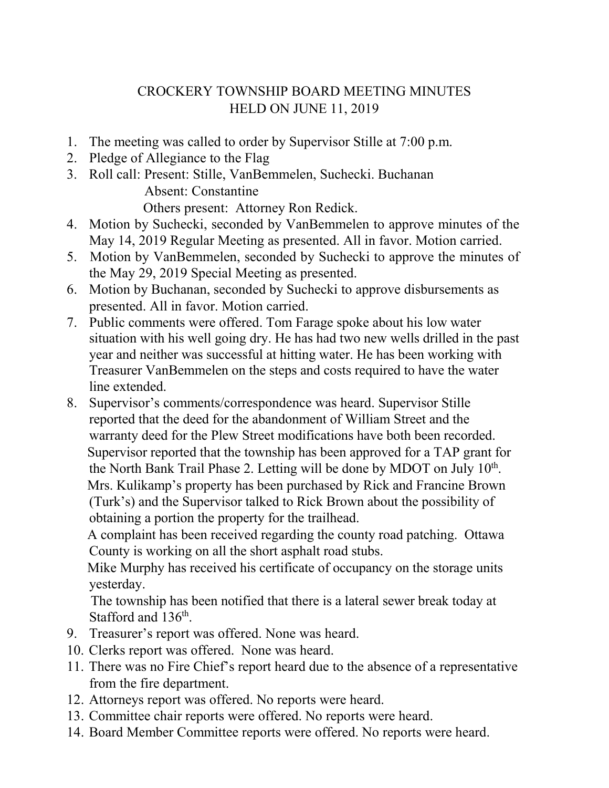## CROCKERY TOWNSHIP BOARD MEETING MINUTES HELD ON JUNE 11, 2019

- 1. The meeting was called to order by Supervisor Stille at 7:00 p.m.
- 2. Pledge of Allegiance to the Flag
- 3. Roll call: Present: Stille, VanBemmelen, Suchecki. Buchanan Absent: Constantine

Others present: Attorney Ron Redick.

- 4. Motion by Suchecki, seconded by VanBemmelen to approve minutes of the May 14, 2019 Regular Meeting as presented. All in favor. Motion carried.
- 5. Motion by VanBemmelen, seconded by Suchecki to approve the minutes of the May 29, 2019 Special Meeting as presented.
- 6. Motion by Buchanan, seconded by Suchecki to approve disbursements as presented. All in favor. Motion carried.
- 7. Public comments were offered. Tom Farage spoke about his low water situation with his well going dry. He has had two new wells drilled in the past year and neither was successful at hitting water. He has been working with Treasurer VanBemmelen on the steps and costs required to have the water line extended.
- 8. Supervisor's comments/correspondence was heard. Supervisor Stille reported that the deed for the abandonment of William Street and the warranty deed for the Plew Street modifications have both been recorded. Supervisor reported that the township has been approved for a TAP grant for the North Bank Trail Phase 2. Letting will be done by MDOT on July  $10<sup>th</sup>$ . Mrs. Kulikamp's property has been purchased by Rick and Francine Brown (Turk's) and the Supervisor talked to Rick Brown about the possibility of obtaining a portion the property for the trailhead.

 A complaint has been received regarding the county road patching. Ottawa County is working on all the short asphalt road stubs.

 Mike Murphy has received his certificate of occupancy on the storage units yesterday.

 The township has been notified that there is a lateral sewer break today at Stafford and 136<sup>th</sup>.

- 9. Treasurer's report was offered. None was heard.
- 10. Clerks report was offered. None was heard.
- 11. There was no Fire Chief's report heard due to the absence of a representative from the fire department.
- 12. Attorneys report was offered. No reports were heard.
- 13. Committee chair reports were offered. No reports were heard.
- 14. Board Member Committee reports were offered. No reports were heard.